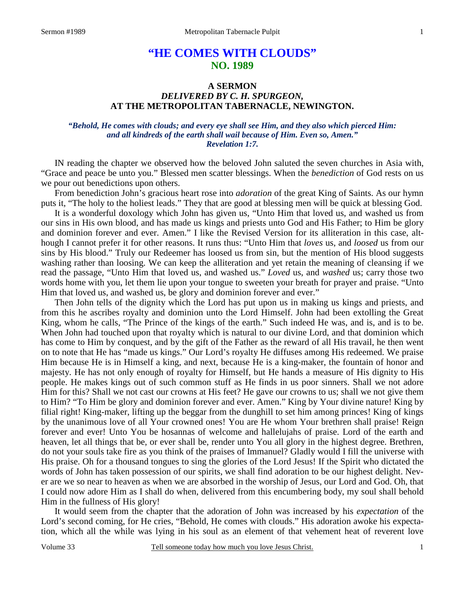# **"HE COMES WITH CLOUDS" NO. 1989**

## **A SERMON**  *DELIVERED BY C. H. SPURGEON,*  **AT THE METROPOLITAN TABERNACLE, NEWINGTON.**

### *"Behold, He comes with clouds; and every eye shall see Him, and they also which pierced Him: and all kindreds of the earth shall wail because of Him. Even so, Amen." Revelation 1:7.*

 IN reading the chapter we observed how the beloved John saluted the seven churches in Asia with, "Grace and peace be unto you." Blessed men scatter blessings. When the *benediction* of God rests on us we pour out benedictions upon others.

 From benediction John's gracious heart rose into *adoration* of the great King of Saints. As our hymn puts it, "The holy to the holiest leads." They that are good at blessing men will be quick at blessing God.

 It is a wonderful doxology which John has given us, "Unto Him that loved us, and washed us from our sins in His own blood, and has made us kings and priests unto God and His Father; to Him be glory and dominion forever and ever. Amen." I like the Revised Version for its alliteration in this case, although I cannot prefer it for other reasons. It runs thus: "Unto Him that *loves* us, and *loosed* us from our sins by His blood." Truly our Redeemer has loosed us from sin, but the mention of His blood suggests washing rather than loosing. We can keep the alliteration and yet retain the meaning of cleansing if we read the passage, "Unto Him that loved us, and washed us." *Loved* us, and *washed* us; carry those two words home with you, let them lie upon your tongue to sweeten your breath for prayer and praise. "Unto Him that loved us, and washed us, be glory and dominion forever and ever."

 Then John tells of the dignity which the Lord has put upon us in making us kings and priests, and from this he ascribes royalty and dominion unto the Lord Himself. John had been extolling the Great King, whom he calls, "The Prince of the kings of the earth." Such indeed He was, and is, and is to be. When John had touched upon that royalty which is natural to our divine Lord, and that dominion which has come to Him by conquest, and by the gift of the Father as the reward of all His travail, he then went on to note that He has "made us kings." Our Lord's royalty He diffuses among His redeemed. We praise Him because He is in Himself a king, and next, because He is a king-maker, the fountain of honor and majesty. He has not only enough of royalty for Himself, but He hands a measure of His dignity to His people. He makes kings out of such common stuff as He finds in us poor sinners. Shall we not adore Him for this? Shall we not cast our crowns at His feet? He gave our crowns to us; shall we not give them to Him? "To Him be glory and dominion forever and ever. Amen." King by Your divine nature! King by filial right! King-maker, lifting up the beggar from the dunghill to set him among princes! King of kings by the unanimous love of all Your crowned ones! You are He whom Your brethren shall praise! Reign forever and ever! Unto You be hosannas of welcome and hallelujahs of praise. Lord of the earth and heaven, let all things that be, or ever shall be, render unto You all glory in the highest degree. Brethren, do not your souls take fire as you think of the praises of Immanuel? Gladly would I fill the universe with His praise. Oh for a thousand tongues to sing the glories of the Lord Jesus! If the Spirit who dictated the words of John has taken possession of our spirits, we shall find adoration to be our highest delight. Never are we so near to heaven as when we are absorbed in the worship of Jesus, our Lord and God. Oh, that I could now adore Him as I shall do when, delivered from this encumbering body, my soul shall behold Him in the fullness of His glory!

 It would seem from the chapter that the adoration of John was increased by his *expectation* of the Lord's second coming, for He cries, "Behold, He comes with clouds." His adoration awoke his expectation, which all the while was lying in his soul as an element of that vehement heat of reverent love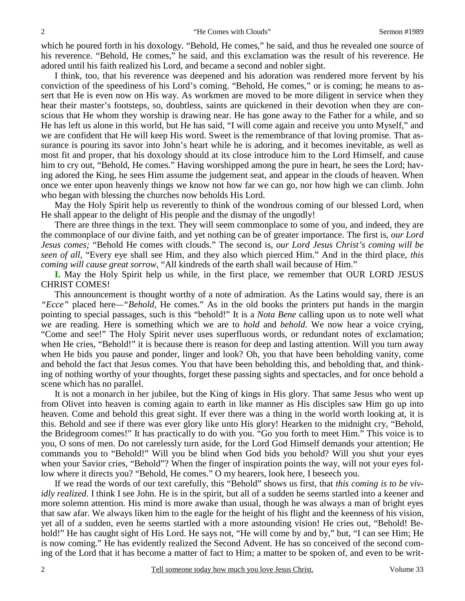which he poured forth in his doxology. "Behold, He comes," he said, and thus he revealed one source of his reverence. "Behold, He comes," he said, and this exclamation was the result of his reverence. He adored until his faith realized his Lord, and became a second and nobler sight.

 I think, too, that his reverence was deepened and his adoration was rendered more fervent by his conviction of the speediness of his Lord's coming. "Behold, He comes," or is coming; he means to assert that He is even now on His way. As workmen are moved to be more diligent in service when they hear their master's footsteps, so, doubtless, saints are quickened in their devotion when they are conscious that He whom they worship is drawing near. He has gone away to the Father for a while, and so He has left us alone in this world, but He has said, "I will come again and receive you unto Myself," and we are confident that He will keep His word. Sweet is the remembrance of that loving promise. That assurance is pouring its savor into John's heart while he is adoring, and it becomes inevitable, as well as most fit and proper, that his doxology should at its close introduce him to the Lord Himself, and cause him to cry out, "Behold, He comes." Having worshipped among the pure in heart, he sees the Lord; having adored the King, he sees Him assume the judgement seat, and appear in the clouds of heaven. When once we enter upon heavenly things we know not how far we can go, nor how high we can climb. John who began with blessing the churches now beholds His Lord.

 May the Holy Spirit help us reverently to think of the wondrous coming of our blessed Lord, when He shall appear to the delight of His people and the dismay of the ungodly!

 There are three things in the text. They will seem commonplace to some of you, and indeed, they are the commonplace of our divine faith, and yet nothing can be of greater importance. The first is, *our Lord Jesus comes;* "Behold He comes with clouds." The second is, *our Lord Jesus Christ's coming will be seen of all,* "Every eye shall see Him, and they also which pierced Him." And in the third place, *this coming will cause great sorrow*, "All kindreds of the earth shall wail because of Him."

**I.** May the Holy Spirit help us while, in the first place, we remember that OUR LORD JESUS CHRIST COMES!

 This announcement is thought worthy of a note of admiration. As the Latins would say, there is an *"Ecce"* placed here*—"Behold,* He comes." As in the old books the printers put hands in the margin pointing to special passages, such is this "behold!" It is a *Nota Bene* calling upon us to note well what we are reading. Here is something which we are to *hold* and *behold*. We now hear a voice crying, "Come and see!" The Holy Spirit never uses superfluous words, or redundant notes of exclamation; when He cries, "Behold!" it is because there is reason for deep and lasting attention. Will you turn away when He bids you pause and ponder, linger and look? Oh, you that have been beholding vanity, come and behold the fact that Jesus comes. You that have been beholding this, and beholding that, and thinking of nothing worthy of your thoughts, forget these passing sights and spectacles, and for once behold a scene which has no parallel.

 It is not a monarch in her jubilee, but the King of kings in His glory. That same Jesus who went up from Olivet into heaven is coming again to earth in like manner as His disciples saw Him go up into heaven. Come and behold this great sight. If ever there was a thing in the world worth looking at, it is this. Behold and see if there was ever glory like unto His glory! Hearken to the midnight cry, "Behold, the Bridegroom comes!" It has practically to do with you. "Go you forth to meet Him." This voice is to you, O sons of men. Do not carelessly turn aside, for the Lord God Himself demands your attention; He commands you to "Behold!" Will you be blind when God bids you behold? Will you shut your eyes when your Savior cries, "Behold"? When the finger of inspiration points the way, will not your eyes follow where it directs you? "Behold, He comes." O my hearers, look here, I beseech you.

 If we read the words of our text carefully, this "Behold" shows us first, that *this coming is to be vividly realized*. I think I see John. He is in the spirit, but all of a sudden he seems startled into a keener and more solemn attention. His mind is more awake than usual, though he was always a man of bright eyes that saw afar. We always liken him to the eagle for the height of his flight and the keenness of his vision, yet all of a sudden, even he seems startled with a more astounding vision! He cries out, "Behold! Behold!" He has caught sight of His Lord. He says not, "He will come by and by," but, "I can see Him; He is now coming." He has evidently realized the Second Advent. He has so conceived of the second coming of the Lord that it has become a matter of fact to Him; a matter to be spoken of, and even to be writ-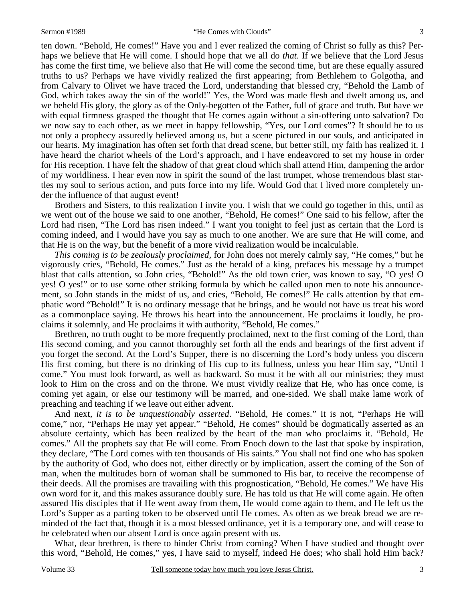ten down. "Behold, He comes!" Have you and I ever realized the coming of Christ so fully as this? Perhaps we believe that He will come. I should hope that we all do *that*. If we believe that the Lord Jesus has come the first time, we believe also that He will come the second time, but are these equally assured truths to us? Perhaps we have vividly realized the first appearing; from Bethlehem to Golgotha, and from Calvary to Olivet we have traced the Lord, understanding that blessed cry, "Behold the Lamb of God, which takes away the sin of the world!" Yes, the Word was made flesh and dwelt among us, and we beheld His glory, the glory as of the Only-begotten of the Father, full of grace and truth. But have we with equal firmness grasped the thought that He comes again without a sin-offering unto salvation? Do we now say to each other, as we meet in happy fellowship, "Yes, our Lord comes"? It should be to us not only a prophecy assuredly believed among us, but a scene pictured in our souls, and anticipated in our hearts. My imagination has often set forth that dread scene, but better still, my faith has realized it. I have heard the chariot wheels of the Lord's approach, and I have endeavored to set my house in order for His reception. I have felt the shadow of that great cloud which shall attend Him, dampening the ardor of my worldliness. I hear even now in spirit the sound of the last trumpet, whose tremendous blast startles my soul to serious action, and puts force into my life. Would God that I lived more completely under the influence of that august event!

 Brothers and Sisters, to this realization I invite you. I wish that we could go together in this, until as we went out of the house we said to one another, "Behold, He comes!" One said to his fellow, after the Lord had risen, "The Lord has risen indeed." I want you tonight to feel just as certain that the Lord is coming indeed, and I would have you say as much to one another. We are sure that He will come, and that He is on the way, but the benefit of a more vivid realization would be incalculable.

*This coming is to be zealously proclaimed,* for John does not merely calmly say, "He comes," but he vigorously cries, "Behold, He comes." Just as the herald of a king, prefaces his message by a trumpet blast that calls attention, so John cries, "Behold!" As the old town crier, was known to say, "O yes! O yes! O yes!" or to use some other striking formula by which he called upon men to note his announcement, so John stands in the midst of us, and cries, "Behold, He comes!" He calls attention by that emphatic word "Behold!" It is no ordinary message that he brings, and he would not have us treat his word as a commonplace saying. He throws his heart into the announcement. He proclaims it loudly, he proclaims it solemnly, and He proclaims it with authority, "Behold, He comes."

 Brethren, no truth ought to be more frequently proclaimed, next to the first coming of the Lord, than His second coming, and you cannot thoroughly set forth all the ends and bearings of the first advent if you forget the second. At the Lord's Supper, there is no discerning the Lord's body unless you discern His first coming, but there is no drinking of His cup to its fullness, unless you hear Him say, "Until I come." You must look forward, as well as backward. So must it be with all our ministries; they must look to Him on the cross and on the throne. We must vividly realize that He, who has once come, is coming yet again, or else our testimony will be marred, and one-sided. We shall make lame work of preaching and teaching if we leave out either advent.

 And next, *it is to be unquestionably asserted*. "Behold, He comes." It is not, "Perhaps He will come," nor, "Perhaps He may yet appear." "Behold, He comes" should be dogmatically asserted as an absolute certainty, which has been realized by the heart of the man who proclaims it. "Behold, He comes." All the prophets say that He will come. From Enoch down to the last that spoke by inspiration, they declare, "The Lord comes with ten thousands of His saints." You shall not find one who has spoken by the authority of God, who does not, either directly or by implication, assert the coming of the Son of man, when the multitudes born of woman shall be summoned to His bar, to receive the recompense of their deeds. All the promises are travailing with this prognostication, "Behold, He comes." We have His own word for it, and this makes assurance doubly sure. He has told us that He will come again. He often assured His disciples that if He went away from them, He would come again to them, and He left us the Lord's Supper as a parting token to be observed until He comes. As often as we break bread we are reminded of the fact that, though it is a most blessed ordinance, yet it is a temporary one, and will cease to be celebrated when our absent Lord is once again present with us.

 What, dear brethren, is there to hinder Christ from coming? When I have studied and thought over this word, "Behold, He comes," yes, I have said to myself, indeed He does; who shall hold Him back?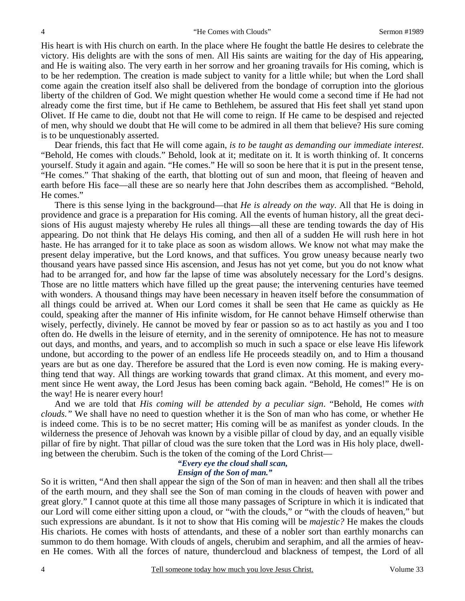His heart is with His church on earth. In the place where He fought the battle He desires to celebrate the victory. His delights are with the sons of men. All His saints are waiting for the day of His appearing, and He is waiting also. The very earth in her sorrow and her groaning travails for His coming, which is to be her redemption. The creation is made subject to vanity for a little while; but when the Lord shall come again the creation itself also shall be delivered from the bondage of corruption into the glorious liberty of the children of God. We might question whether He would come a second time if He had not already come the first time, but if He came to Bethlehem, be assured that His feet shall yet stand upon Olivet. If He came to die, doubt not that He will come to reign. If He came to be despised and rejected of men, why should we doubt that He will come to be admired in all them that believe? His sure coming is to be unquestionably asserted.

 Dear friends, this fact that He will come again, *is to be taught as demanding our immediate interest*. "Behold, He comes with clouds." Behold, look at it; meditate on it. It is worth thinking of. It concerns yourself. Study it again and again. "He comes." He will so soon be here that it is put in the present tense, "He comes." That shaking of the earth, that blotting out of sun and moon, that fleeing of heaven and earth before His face—all these are so nearly here that John describes them as accomplished. "Behold, He comes."

 There is this sense lying in the background—that *He is already on the way*. All that He is doing in providence and grace is a preparation for His coming. All the events of human history, all the great decisions of His august majesty whereby He rules all things—all these are tending towards the day of His appearing. Do not think that He delays His coming, and then all of a sudden He will rush here in hot haste. He has arranged for it to take place as soon as wisdom allows. We know not what may make the present delay imperative, but the Lord knows, and that suffices. You grow uneasy because nearly two thousand years have passed since His ascension, and Jesus has not yet come, but you do not know what had to be arranged for, and how far the lapse of time was absolutely necessary for the Lord's designs. Those are no little matters which have filled up the great pause; the intervening centuries have teemed with wonders. A thousand things may have been necessary in heaven itself before the consummation of all things could be arrived at. When our Lord comes it shall be seen that He came as quickly as He could, speaking after the manner of His infinite wisdom, for He cannot behave Himself otherwise than wisely, perfectly, divinely. He cannot be moved by fear or passion so as to act hastily as you and I too often do. He dwells in the leisure of eternity, and in the serenity of omnipotence. He has not to measure out days, and months, and years, and to accomplish so much in such a space or else leave His lifework undone, but according to the power of an endless life He proceeds steadily on, and to Him a thousand years are but as one day. Therefore be assured that the Lord is even now coming. He is making everything tend that way. All things are working towards that grand climax. At this moment, and every moment since He went away, the Lord Jesus has been coming back again. "Behold, He comes!" He is on the way! He is nearer every hour!

 And we are told that *His coming will be attended by a peculiar sign*. "Behold, He comes *with clouds."* We shall have no need to question whether it is the Son of man who has come, or whether He is indeed come. This is to be no secret matter; His coming will be as manifest as yonder clouds. In the wilderness the presence of Jehovah was known by a visible pillar of cloud by day, and an equally visible pillar of fire by night. That pillar of cloud was the sure token that the Lord was in His holy place, dwelling between the cherubim. Such is the token of the coming of the Lord Christ—

#### *"Every eye the cloud shall scan, Ensign of the Son of man."*

So it is written, "And then shall appear the sign of the Son of man in heaven: and then shall all the tribes of the earth mourn, and they shall see the Son of man coming in the clouds of heaven with power and great glory." I cannot quote at this time all those many passages of Scripture in which it is indicated that our Lord will come either sitting upon a cloud, or "with the clouds," or "with the clouds of heaven," but such expressions are abundant. Is it not to show that His coming will be *majestic?* He makes the clouds His chariots. He comes with hosts of attendants, and these of a nobler sort than earthly monarchs can summon to do them homage. With clouds of angels, cherubim and seraphim, and all the armies of heaven He comes. With all the forces of nature, thundercloud and blackness of tempest, the Lord of all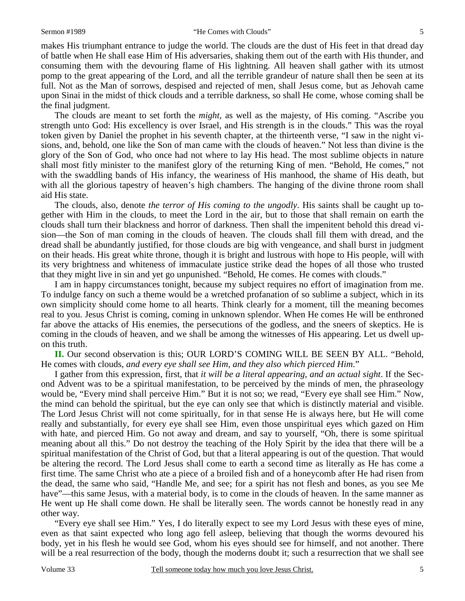makes His triumphant entrance to judge the world. The clouds are the dust of His feet in that dread day of battle when He shall ease Him of His adversaries, shaking them out of the earth with His thunder, and consuming them with the devouring flame of His lightning. All heaven shall gather with its utmost pomp to the great appearing of the Lord, and all the terrible grandeur of nature shall then be seen at its full. Not as the Man of sorrows, despised and rejected of men, shall Jesus come, but as Jehovah came upon Sinai in the midst of thick clouds and a terrible darkness, so shall He come, whose coming shall be the final judgment.

 The clouds are meant to set forth the *might,* as well as the majesty, of His coming. "Ascribe you strength unto God: His excellency is over Israel, and His strength is in the clouds." This was the royal token given by Daniel the prophet in his seventh chapter, at the thirteenth verse, "I saw in the night visions, and, behold, one like the Son of man came with the clouds of heaven." Not less than divine is the glory of the Son of God, who once had not where to lay His head. The most sublime objects in nature shall most fitly minister to the manifest glory of the returning King of men. "Behold, He comes," not with the swaddling bands of His infancy, the weariness of His manhood, the shame of His death, but with all the glorious tapestry of heaven's high chambers. The hanging of the divine throne room shall aid His state.

 The clouds, also, denote *the terror of His coming to the ungodly*. His saints shall be caught up together with Him in the clouds, to meet the Lord in the air, but to those that shall remain on earth the clouds shall turn their blackness and horror of darkness. Then shall the impenitent behold this dread vision—the Son of man coming in the clouds of heaven. The clouds shall fill them with dread, and the dread shall be abundantly justified, for those clouds are big with vengeance, and shall burst in judgment on their heads. His great white throne, though it is bright and lustrous with hope to His people, will with its very brightness and whiteness of immaculate justice strike dead the hopes of all those who trusted that they might live in sin and yet go unpunished. "Behold, He comes. He comes with clouds."

 I am in happy circumstances tonight, because my subject requires no effort of imagination from me. To indulge fancy on such a theme would be a wretched profanation of so sublime a subject, which in its own simplicity should come home to all hearts. Think clearly for a moment, till the meaning becomes real to you. Jesus Christ is coming, coming in unknown splendor. When He comes He will be enthroned far above the attacks of His enemies, the persecutions of the godless, and the sneers of skeptics. He is coming in the clouds of heaven, and we shall be among the witnesses of His appearing. Let us dwell upon this truth.

**II.** Our second observation is this; OUR LORD'S COMING WILL BE SEEN BY ALL. "Behold, He comes with clouds, *and every eye shall see Him, and they also which pierced Him*."

 I gather from this expression, first, that *it will be a literal appearing, and an actual sight*. If the Second Advent was to be a spiritual manifestation, to be perceived by the minds of men, the phraseology would be, "Every mind shall perceive Him." But it is not so; we read, "Every eye shall see Him." Now, the mind can behold the spiritual, but the eye can only see that which is distinctly material and visible. The Lord Jesus Christ will not come spiritually, for in that sense He is always here, but He will come really and substantially, for every eye shall see Him, even those unspiritual eyes which gazed on Him with hate, and pierced Him. Go not away and dream, and say to yourself, "Oh, there is some spiritual meaning about all this." Do not destroy the teaching of the Holy Spirit by the idea that there will be a spiritual manifestation of the Christ of God, but that a literal appearing is out of the question. That would be altering the record. The Lord Jesus shall come to earth a second time as literally as He has come a first time. The same Christ who ate a piece of a broiled fish and of a honeycomb after He had risen from the dead, the same who said, "Handle Me, and see; for a spirit has not flesh and bones, as you see Me have"—this same Jesus, with a material body, is to come in the clouds of heaven. In the same manner as He went up He shall come down. He shall be literally seen. The words cannot be honestly read in any other way.

 "Every eye shall see Him." Yes, I do literally expect to see my Lord Jesus with these eyes of mine, even as that saint expected who long ago fell asleep, believing that though the worms devoured his body, yet in his flesh he would see God, whom his eyes should see for himself, and not another. There will be a real resurrection of the body, though the moderns doubt it; such a resurrection that we shall see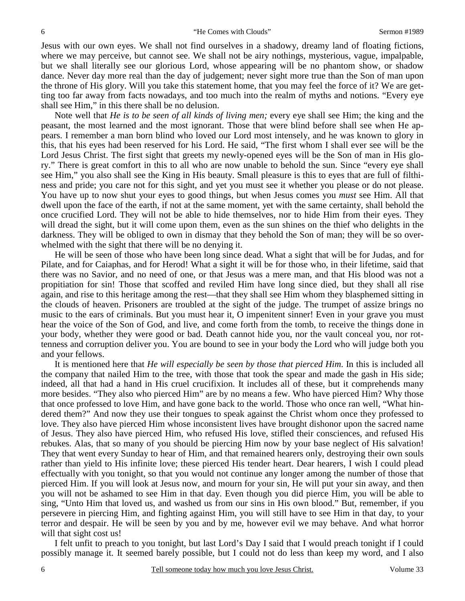Jesus with our own eyes. We shall not find ourselves in a shadowy, dreamy land of floating fictions, where we may perceive, but cannot see. We shall not be airy nothings, mysterious, vague, impalpable, but we shall literally see our glorious Lord, whose appearing will be no phantom show, or shadow dance. Never day more real than the day of judgement; never sight more true than the Son of man upon the throne of His glory. Will you take this statement home, that you may feel the force of it? We are getting too far away from facts nowadays, and too much into the realm of myths and notions. "Every eye shall see Him," in this there shall be no delusion.

 Note well that *He is to be seen of all kinds of living men;* every eye shall see Him; the king and the peasant, the most learned and the most ignorant. Those that were blind before shall see when He appears. I remember a man born blind who loved our Lord most intensely, and he was known to glory in this, that his eyes had been reserved for his Lord. He said, "The first whom I shall ever see will be the Lord Jesus Christ. The first sight that greets my newly-opened eyes will be the Son of man in His glory." There is great comfort in this to all who are now unable to behold the sun. Since "every eye shall see Him," you also shall see the King in His beauty. Small pleasure is this to eyes that are full of filthiness and pride; you care not for this sight, and yet you must see it whether you please or do not please. You have up to now shut your eyes to good things, but when Jesus comes you *must* see Him. All that dwell upon the face of the earth, if not at the same moment, yet with the same certainty, shall behold the once crucified Lord. They will not be able to hide themselves, nor to hide Him from their eyes. They will dread the sight, but it will come upon them, even as the sun shines on the thief who delights in the darkness. They will be obliged to own in dismay that they behold the Son of man; they will be so overwhelmed with the sight that there will be no denying it.

 He will be seen of those who have been long since dead. What a sight that will be for Judas, and for Pilate, and for Caiaphas, and for Herod! What a sight it will be for those who, in their lifetime, said that there was no Savior, and no need of one, or that Jesus was a mere man, and that His blood was not a propitiation for sin! Those that scoffed and reviled Him have long since died, but they shall all rise again, and rise to this heritage among the rest—that they shall see Him whom they blasphemed sitting in the clouds of heaven. Prisoners are troubled at the sight of the judge. The trumpet of assize brings no music to the ears of criminals. But you must hear it, O impenitent sinner! Even in your grave you must hear the voice of the Son of God, and live, and come forth from the tomb, to receive the things done in your body, whether they were good or bad. Death cannot hide you, nor the vault conceal you, nor rottenness and corruption deliver you. You are bound to see in your body the Lord who will judge both you and your fellows.

 It is mentioned here that *He will especially be seen by those that pierced Him*. In this is included all the company that nailed Him to the tree, with those that took the spear and made the gash in His side; indeed, all that had a hand in His cruel crucifixion. It includes all of these, but it comprehends many more besides. "They also who pierced Him" are by no means a few. Who have pierced Him? Why those that once professed to love Him, and have gone back to the world. Those who once ran well, "What hindered them?" And now they use their tongues to speak against the Christ whom once they professed to love. They also have pierced Him whose inconsistent lives have brought dishonor upon the sacred name of Jesus. They also have pierced Him, who refused His love, stifled their consciences, and refused His rebukes. Alas, that so many of you should be piercing Him now by your base neglect of His salvation! They that went every Sunday to hear of Him, and that remained hearers only, destroying their own souls rather than yield to His infinite love; these pierced His tender heart. Dear hearers, I wish I could plead effectually with you tonight, so that you would not continue any longer among the number of those that pierced Him. If you will look at Jesus now, and mourn for your sin, He will put your sin away, and then you will not be ashamed to see Him in that day. Even though you did pierce Him, you will be able to sing, "Unto Him that loved us, and washed us from our sins in His own blood." But, remember, if you persevere in piercing Him, and fighting against Him, you will still have to see Him in that day, to your terror and despair. He will be seen by you and by me, however evil we may behave. And what horror will that sight cost us!

 I felt unfit to preach to you tonight, but last Lord's Day I said that I would preach tonight if I could possibly manage it. It seemed barely possible, but I could not do less than keep my word, and I also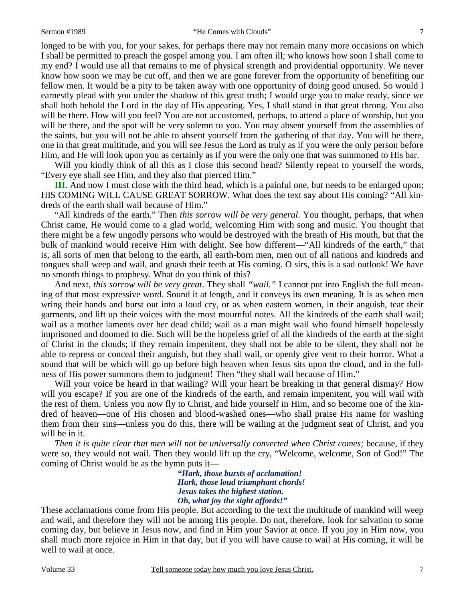longed to be with you, for your sakes, for perhaps there may not remain many more occasions on which I shall be permitted to preach the gospel among you. I am often ill; who knows how soon I shall come to my end? I would use all that remains to me of physical strength and providential opportunity. We never know how soon we may be cut off, and then we are gone forever from the opportunity of benefiting our fellow men. It would be a pity to be taken away with one opportunity of doing good unused. So would I earnestly plead with you under the shadow of this great truth; I would urge you to make ready, since we shall both behold the Lord in the day of His appearing. Yes, I shall stand in that great throng. You also will be there. How will you feel? You are not accustomed, perhaps, to attend a place of worship, but you will be there, and the spot will be very solemn to you. You may absent yourself from the assemblies of the saints, but you will not be able to absent yourself from the gathering of that day. You will be there, one in that great multitude, and you will see Jesus the Lord as truly as if you were the only person before Him, and He will look upon you as certainly as if you were the only one that was summoned to His bar.

Will you kindly think of all this as I close this second head? Silently repeat to yourself the words, "Every eye shall see Him, and they also that pierced Him."

**III.** And now I must close with the third head, which is a painful one, but needs to be enlarged upon; HIS COMING WILL CAUSE GREAT SORROW. What does the text say about His coming? "All kindreds of the earth shall wail because of Him."

 "All kindreds of the earth." Then *this sorrow will be very general*. You thought, perhaps, that when Christ came, He would come to a glad world, welcoming Him with song and music. You thought that there might be a few ungodly persons who would be destroyed with the breath of His mouth, but that the bulk of mankind would receive Him with delight. See how different—"All kindreds of the earth," that is, all sorts of men that belong to the earth, all earth-born men, men out of all nations and kindreds and tongues shall weep and wail, and gnash their teeth at His coming. O sirs, this is a sad outlook! We have no smooth things to prophesy. What do you think of this?

 And next, *this sorrow will be very great*. They shall *"wail."* I cannot put into English the full meaning of that most expressive word. Sound it at length, and it conveys its own meaning. It is as when men wring their hands and burst out into a loud cry, or as when eastern women, in their anguish, tear their garments, and lift up their voices with the most mournful notes. All the kindreds of the earth shall wail; wail as a mother laments over her dead child; wail as a man might wail who found himself hopelessly imprisoned and doomed to die. Such will be the hopeless grief of all the kindreds of the earth at the sight of Christ in the clouds; if they remain impenitent, they shall not be able to be silent, they shall not be able to repress or conceal their anguish, but they shall wail, or openly give vent to their horror. What a sound that will be which will go up before high heaven when Jesus sits upon the cloud, and in the fullness of His power summons them to judgment! Then "they shall wail because of Him."

 Will your voice be heard in that wailing? Will your heart be breaking in that general dismay? How will you escape? If you are one of the kindreds of the earth, and remain impenitent, you will wail with the rest of them. Unless you now fly to Christ, and hide yourself in Him, and so become one of the kindred of heaven—one of His chosen and blood-washed ones—who shall praise His name for washing them from their sins—unless you do this, there will be wailing at the judgment seat of Christ, and you will be in it.

*Then it is quite clear that men will not be universally converted when Christ comes;* because, if they were so, they would not wail. Then they would lift up the cry, "Welcome, welcome, Son of God!" The coming of Christ would be as the hymn puts it—

> *"Hark, those bursts of acclamation! Hark, those loud triumphant chords! Jesus takes the highest station. Oh, what joy the sight affords!"*

These acclamations come from His people. But according to the text the multitude of mankind will weep and wail, and therefore they will not be among His people. Do not, therefore, look for salvation to some coming day, but believe in Jesus now, and find in Him your Savior at once. If you joy in Him now, you shall much more rejoice in Him in that day, but if you will have cause to wail at His coming, it will be well to wail at once.